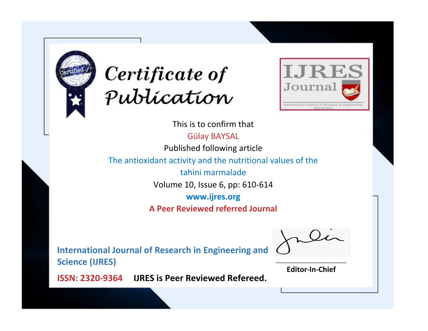



This is to confirm that Gülay BAYSAL

Published following article

The antioxidant activity and the nutritional values of the

tahini marmalade

Volume 10, Issue 6, pp: 610-614

**www.ijres.org**

**A Peer Reviewed referred Journal**

**International Journal of Research in Engineering and Science (IJRES)**

\_\_\_\_\_\_\_\_\_\_\_\_\_\_\_\_\_\_\_\_\_\_\_\_ **Editor-In-Chief**

**Journal.**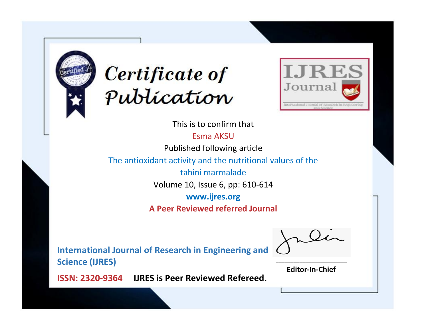



This is to confirm that

Esma AKSU

Published following article

The antioxidant activity and the nutritional values of the

tahini marmalade

Volume 10, Issue 6, pp: 610-614

**www.ijres.org**

**A Peer Reviewed referred Journal**

**International Journal of Research in Engineering and Science (IJRES)**

\_\_\_\_\_\_\_\_\_\_\_\_\_\_\_\_\_\_\_\_\_\_\_\_ **Editor-In-Chief**

**Journal.**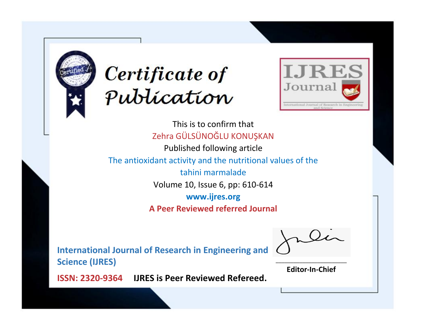



This is to confirm that Zehra GÜLSÜNOĞLU KONUŞKAN Published following article The antioxidant activity and the nutritional values of the tahini marmalade Volume 10, Issue 6, pp: 610-614 **www.ijres.org A Peer Reviewed referred Journal**

**International Journal of Research in Engineering and Science (IJRES)**

\_\_\_\_\_\_\_\_\_\_\_\_\_\_\_\_\_\_\_\_\_\_\_\_ **Editor-In-Chief**

**Journal.**